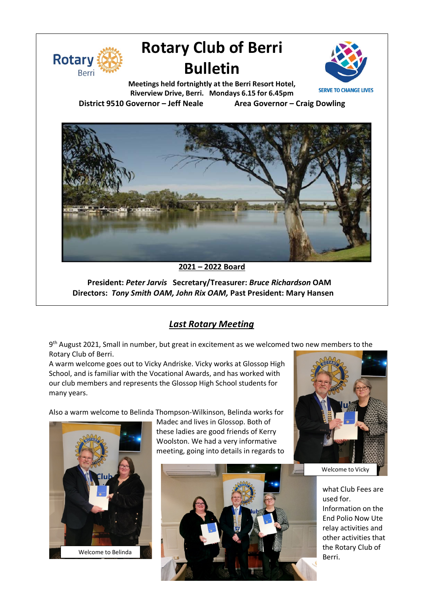

# **Rotary Club of Berri Bulletin**



**Meetings held fortnightly at the Berri Resort Hotel, Riverview Drive, Berri. Mondays 6.15 for 6.45pm District 9510 Governor – Jeff Neale Area Governor – Craig Dowling**



#### **2021 – 2022 Board**

**President:** *Peter Jarvis* **Secretary/Treasurer:** *Bruce Richardson* **OAM Directors:** *Tony Smith OAM, John Rix OAM,* **Past President: Mary Hansen**

# *Last Rotary Meeting*

9<sup>th</sup> August 2021, Small in number, but great in excitement as we welcomed two new members to the Rotary Club of Berri.

A warm welcome goes out to Vicky Andriske. Vicky works at Glossop High School, and is familiar with the Vocational Awards, and has worked with our club members and represents the Glossop High School students for many years.

Also a warm welcome to Belinda Thompson-Wilkinson, Belinda works for



Madec and lives in Glossop. Both of these ladies are good friends of Kerry Woolston. We had a very informative meeting, going into details in regards to





Welcome to Vicky

what Club Fees are used for. Information on the End Polio Now Ute relay activities and other activities that the Rotary Club of Berri.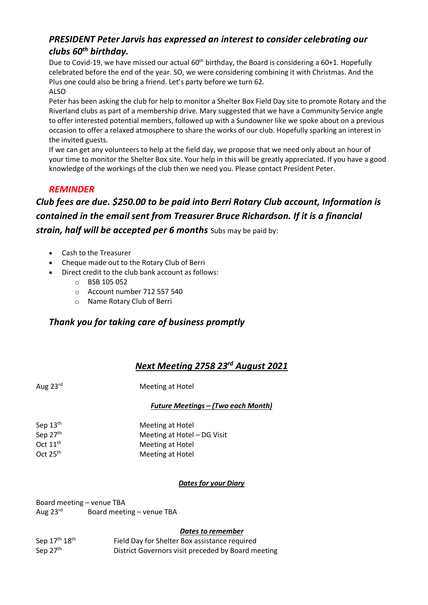# *PRESIDENT Peter Jarvis has expressed an interest to consider celebrating our clubs 60th birthday.*

Due to Covid-19, we have missed our actual 60<sup>th</sup> birthday, the Board is considering a 60+1. Hopefully celebrated before the end of the year. SO, we were considering combining it with Christmas. And the Plus one could also be bring a friend. Let's party before we turn 62. ALSO

Peter has been asking the club for help to monitor a Shelter Box Field Day site to promote Rotary and the Riverland clubs as part of a membership drive. Mary suggested that we have a Community Service angle to offer interested potential members, followed up with a Sundowner like we spoke about on a previous occasion to offer a relaxed atmosphere to share the works of our club. Hopefully sparking an interest in the invited guests.

If we can get any volunteers to help at the field day, we propose that we need only about an hour of your time to monitor the Shelter Box site. Your help in this will be greatly appreciated. If you have a good knowledge of the workings of the club then we need you. Please contact President Peter.

# *REMINDER*

# *Club fees are due. \$250.00 to be paid into Berri Rotary Club account, Information is contained in the email sent from Treasurer Bruce Richardson. If it is a financial strain, half will be accepted per 6 months* Subs may be paid by:

- Cash to the Treasurer
- Cheque made out to the Rotary Club of Berri
- Direct credit to the club bank account as follows:
	- o BSB 105 052
	- o Account number 712 557 540
	- o Name Rotary Club of Berri

# *Thank you for taking care of business promptly*

# *Next Meeting 2758 23rd August 2021*

Aug 23<sup>rd</sup> Meeting at Hotel

#### *Future Meetings – (Two each Month)*

| Sep $13th$    | Meeting at Hotel            |
|---------------|-----------------------------|
| Sep 27th      | Meeting at Hotel - DG Visit |
| Oct $11^{th}$ | Meeting at Hotel            |
| Oct $25th$    | Meeting at Hotel            |

#### *Dates for your Diary*

Board meeting – venue TBA

Aug  $23^{rd}$  Board meeting – venue TBA

#### *Dates to remember*

Sep 17<sup>th</sup> 18<sup>th</sup> Field Day for Shelter Box assistance required Sep 27<sup>th</sup> District Governors visit preceded by Board meeting